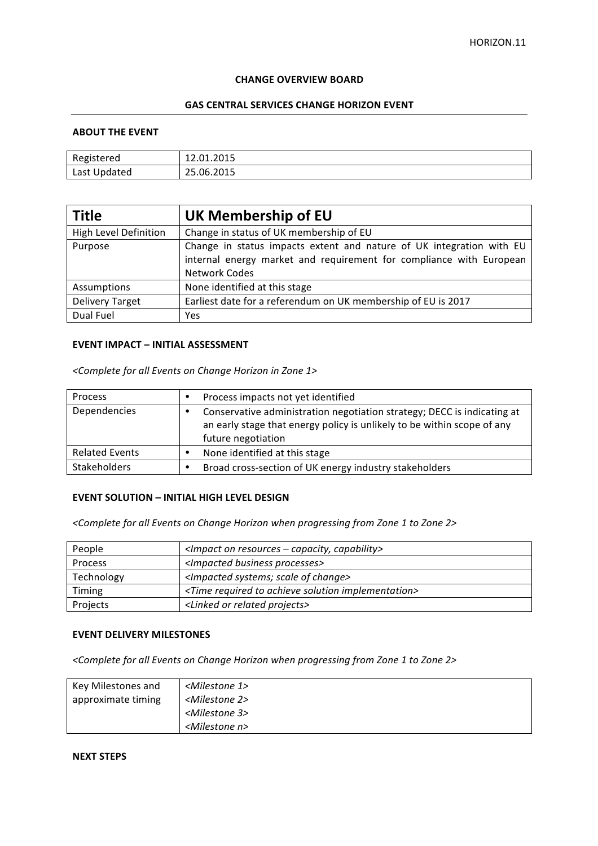#### **CHANGE OVERVIEW BOARD**

# **GAS CENTRAL SERVICES CHANGE HORIZON EVENT**

### **ABOUT THE EVENT**

| Registered   | 12.01.2015 |
|--------------|------------|
| Last Updated | 25.06.2015 |

| <b>Title</b>                 | UK Membership of EU                                                                                                                                                 |
|------------------------------|---------------------------------------------------------------------------------------------------------------------------------------------------------------------|
| <b>High Level Definition</b> | Change in status of UK membership of EU                                                                                                                             |
| Purpose                      | Change in status impacts extent and nature of UK integration with EU<br>internal energy market and requirement for compliance with European<br><b>Network Codes</b> |
| Assumptions                  | None identified at this stage                                                                                                                                       |
| <b>Delivery Target</b>       | Earliest date for a referendum on UK membership of EU is 2017                                                                                                       |
| Dual Fuel                    | Yes                                                                                                                                                                 |

### **EVENT IMPACT – INITIAL ASSESSMENT**

*<Complete for all Events on Change Horizon in Zone 1>*

| Process               | ٠ | Process impacts not yet identified                                                                                                                                       |
|-----------------------|---|--------------------------------------------------------------------------------------------------------------------------------------------------------------------------|
| Dependencies          |   | Conservative administration negotiation strategy; DECC is indicating at<br>an early stage that energy policy is unlikely to be within scope of any<br>future negotiation |
| <b>Related Events</b> |   | None identified at this stage                                                                                                                                            |
| <b>Stakeholders</b>   |   | Broad cross-section of UK energy industry stakeholders                                                                                                                   |

### **EVENT SOLUTION - INITIAL HIGH LEVEL DESIGN**

<Complete for all Events on Change Horizon when progressing from Zone 1 to Zone 2>

| People         | <impact -="" capability="" capacity,="" on="" resources=""></impact>     |
|----------------|--------------------------------------------------------------------------|
| <b>Process</b> | <impacted business="" processes=""></impacted>                           |
| Technology     | <impacted change="" of="" scale="" systems;=""></impacted>               |
| Timing         | <time achieve="" implementation="" required="" solution="" to=""></time> |
| Projects       | <linked or="" projects="" related=""></linked>                           |

### **EVENT DELIVERY MILESTONES**

<Complete for all Events on Change Horizon when progressing from Zone 1 to Zone 2>

| Key Milestones and | <milestone 1=""></milestone> |
|--------------------|------------------------------|
| approximate timing | <milestone 2=""></milestone> |
|                    | <milestone 3=""></milestone> |
|                    | <milestone n=""></milestone> |

# **NEXT STEPS**